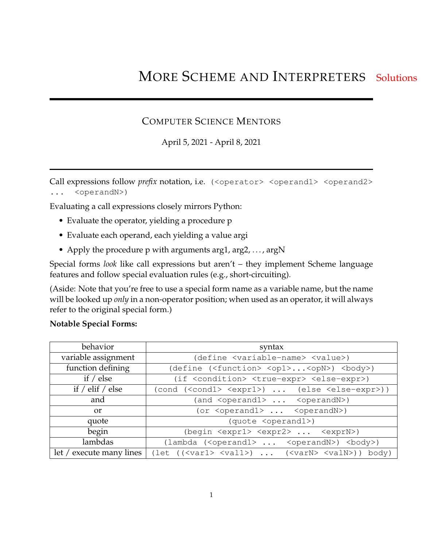## COMPUTER SCIENCE MENTORS

April 5, 2021 - April 8, 2021

Call expressions follow *prefix* notation, i.e. (<operator> <operand1> <operand2> ... <operandN>)

Evaluating a call expressions closely mirrors Python:

- Evaluate the operator, yielding a procedure p
- Evaluate each operand, each yielding a value argi
- Apply the procedure p with arguments arg1, arg2, ..., argN

Special forms *look* like call expressions but aren't – they implement Scheme language features and follow special evaluation rules (e.g., short-circuiting).

(Aside: Note that you're free to use a special form name as a variable name, but the name will be looked up *only* in a non-operator position; when used as an operator, it will always refer to the original special form.)

### **Notable Special Forms:**

| behavior                 | syntax                                                                                                                               |
|--------------------------|--------------------------------------------------------------------------------------------------------------------------------------|
| variable assignment      | (define <variable-name> <value>)</value></variable-name>                                                                             |
| function defining        | (define ( <function> <op1><opn>) <br/> <br/>&gt;body&gt;)</opn></op1></function>                                                     |
| if $/$ else              | (if <condition> <true-expr> <else-expr>)</else-expr></true-expr></condition>                                                         |
| if $/$ elif $/$ else     | (cond ( <cond1> <expr1>)  (else <else-expr>))</else-expr></expr1></cond1>                                                            |
| and                      | (and $\langle$ operand $1$ > $\langle$ operandN>)                                                                                    |
| <sub>or</sub>            | (or <operand1> <operandn>)</operandn></operand1>                                                                                     |
| quote                    | (quote <operand1>)</operand1>                                                                                                        |
| begin                    | (begin <expr1> <expr2> <exprn>)</exprn></expr2></expr1>                                                                              |
| lambdas                  | (lambda ( <operand1> <operandn>) <br/>body&gt;)</operandn></operand1>                                                                |
| let / execute many lines | (let $(\langle \text{var1} \rangle \langle \text{val1} \rangle)$ $(\langle \text{varN} \rangle \langle \text{varN} \rangle)$ ) body) |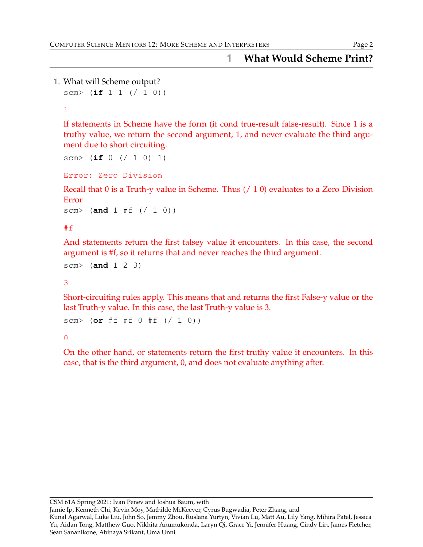## **1 What Would Scheme Print?**

1. What will Scheme output? scm> (**if** 1 1 (/ 1 0))

1

If statements in Scheme have the form (if cond true-result false-result). Since 1 is a truthy value, we return the second argument, 1, and never evaluate the third argument due to short circuiting.

```
scm> (if 0 (/ 1 0) 1)
```

```
Error: Zero Division
```
Recall that 0 is a Truth-y value in Scheme. Thus (/ 1 0) evaluates to a Zero Division Error

```
scm> (and 1 #f (/ 1 0))
```
#f

And statements return the first falsey value it encounters. In this case, the second argument is #f, so it returns that and never reaches the third argument.

scm> (**and** 1 2 3)

3

Short-circuiting rules apply. This means that and returns the first False-y value or the last Truth-y value. In this case, the last Truth-y value is 3.

```
scm> (or #f #f 0 #f (/ 1 0))
```
 $\Omega$ 

On the other hand, or statements return the first truthy value it encounters. In this case, that is the third argument, 0, and does not evaluate anything after.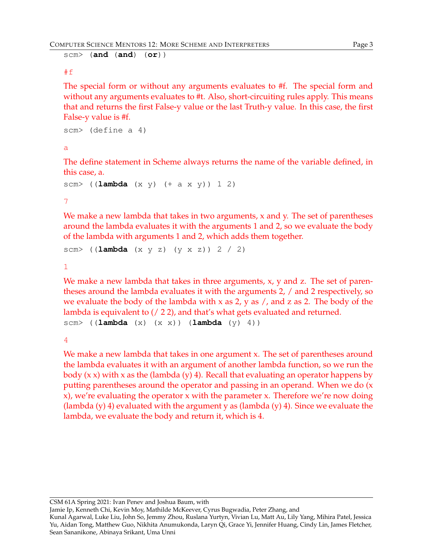scm> (**and** (**and**) (**or**))

#### #f

The special form or without any arguments evaluates to #f. The special form and without any arguments evaluates to #t. Also, short-circuiting rules apply. This means that and returns the first False-y value or the last Truth-y value. In this case, the first False-y value is #f.

```
scm> (define a 4)
```
a

The define statement in Scheme always returns the name of the variable defined, in this case, a.

```
scm> ((lambda (x y) (+ a x y)) 1 2)
```
7

We make a new lambda that takes in two arguments, x and y. The set of parentheses around the lambda evaluates it with the arguments 1 and 2, so we evaluate the body of the lambda with arguments 1 and 2, which adds them together.

scm> ((**lambda** (x y z) (y x z)) 2 / 2)

1

We make a new lambda that takes in three arguments, x, y and z. The set of parentheses around the lambda evaluates it with the arguments 2, / and 2 respectively, so we evaluate the body of the lambda with x as 2, y as  $\ell$ , and z as 2. The body of the lambda is equivalent to (/ 2 2), and that's what gets evaluated and returned. scm> ((**lambda** (x) (x x)) (**lambda** (y) 4))

4

We make a new lambda that takes in one argument x. The set of parentheses around the lambda evaluates it with an argument of another lambda function, so we run the body (x x) with x as the (lambda (y) 4). Recall that evaluating an operator happens by putting parentheses around the operator and passing in an operand. When we do (x x), we're evaluating the operator x with the parameter x. Therefore we're now doing (lambda (y) 4) evaluated with the argument y as (lambda (y) 4). Since we evaluate the lambda, we evaluate the body and return it, which is 4.

Jamie Ip, Kenneth Chi, Kevin Moy, Mathilde McKeever, Cyrus Bugwadia, Peter Zhang, and

Kunal Agarwal, Luke Liu, John So, Jemmy Zhou, Ruslana Yurtyn, Vivian Lu, Matt Au, Lily Yang, Mihira Patel, Jessica Yu, Aidan Tong, Matthew Guo, Nikhita Anumukonda, Laryn Qi, Grace Yi, Jennifer Huang, Cindy Lin, James Fletcher, Sean Sananikone, Abinaya Srikant, Uma Unni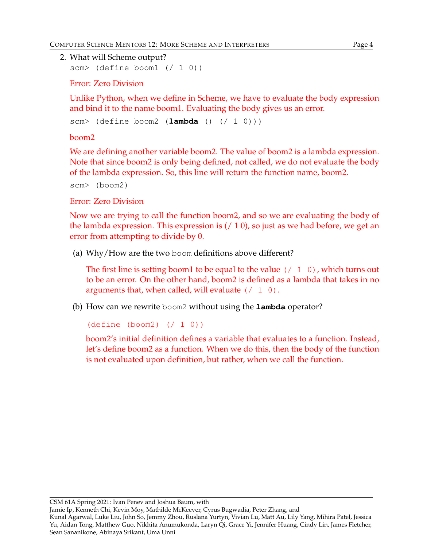```
2. What will Scheme output?
  scm> (define boom1 (/ 1 0))
```
Error: Zero Division

Unlike Python, when we define in Scheme, we have to evaluate the body expression and bind it to the name boom1. Evaluating the body gives us an error.

```
scm> (define boom2 (lambda () (/ 1 0)))
```
boom2

We are defining another variable boom2. The value of boom2 is a lambda expression. Note that since boom2 is only being defined, not called, we do not evaluate the body of the lambda expression. So, this line will return the function name, boom2.

```
scm> (boom2)
```
### Error: Zero Division

Sean Sananikone, Abinaya Srikant, Uma Unni

Now we are trying to call the function boom2, and so we are evaluating the body of the lambda expression. This expression is  $(710)$ , so just as we had before, we get an error from attempting to divide by 0.

(a) Why/How are the two boom definitions above different?

The first line is setting boom1 to be equal to the value  $(7 \ 1 \ 0)$ , which turns out to be an error. On the other hand, boom2 is defined as a lambda that takes in no arguments that, when called, will evaluate  $(7 \ 1 \ 0)$ .

(b) How can we rewrite boom2 without using the **lambda** operator?

(define (boom2) (/ 1 0))

boom2's initial definition defines a variable that evaluates to a function. Instead, let's define boom2 as a function. When we do this, then the body of the function is not evaluated upon definition, but rather, when we call the function.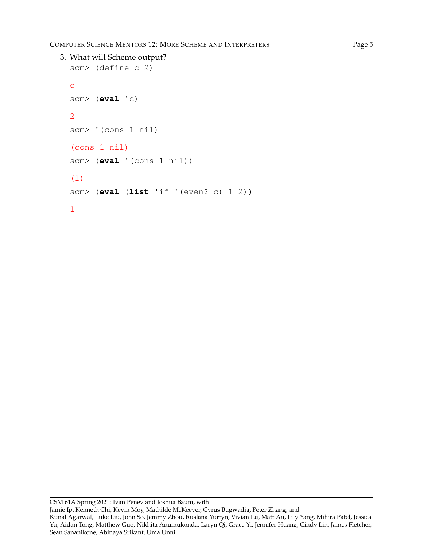```
3. What will Scheme output?
  scm> (define c 2)
  c
  scm> (eval 'c)
  2
  scm> '(cons 1 nil)
  (cons 1 nil)
  scm> (eval '(cons 1 nil))
  (1)
  scm> (eval (list 'if '(even? c) 1 2))
  1
```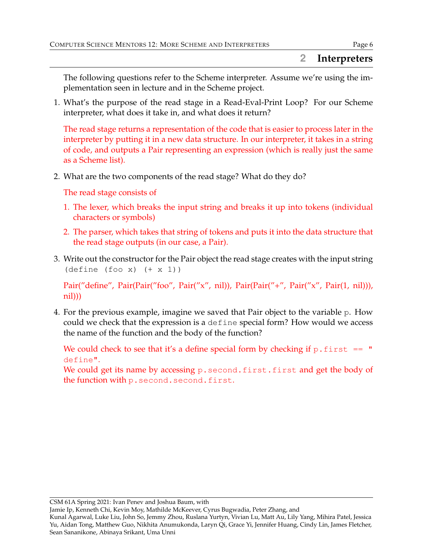## **2 Interpreters**

The following questions refer to the Scheme interpreter. Assume we're using the implementation seen in lecture and in the Scheme project.

1. What's the purpose of the read stage in a Read-Eval-Print Loop? For our Scheme interpreter, what does it take in, and what does it return?

The read stage returns a representation of the code that is easier to process later in the interpreter by putting it in a new data structure. In our interpreter, it takes in a string of code, and outputs a Pair representing an expression (which is really just the same as a Scheme list).

2. What are the two components of the read stage? What do they do?

The read stage consists of

- 1. The lexer, which breaks the input string and breaks it up into tokens (individual characters or symbols)
- 2. The parser, which takes that string of tokens and puts it into the data structure that the read stage outputs (in our case, a Pair).
- 3. Write out the constructor for the Pair object the read stage creates with the input string  $(detine (foo x) (+ x 1))$

Pair("define", Pair(Pair("foo", Pair("x", nil)), Pair(Pair("+", Pair("x", Pair(1, nil))), nil)))

4. For the previous example, imagine we saved that Pair object to the variable p. How could we check that the expression is a define special form? How would we access the name of the function and the body of the function?

We could check to see that it's a define special form by checking if  $p$ . first  $=$  " define".

We could get its name by accessing p.second.first.first and get the body of the function with p.second.second.first.

Jamie Ip, Kenneth Chi, Kevin Moy, Mathilde McKeever, Cyrus Bugwadia, Peter Zhang, and

Kunal Agarwal, Luke Liu, John So, Jemmy Zhou, Ruslana Yurtyn, Vivian Lu, Matt Au, Lily Yang, Mihira Patel, Jessica Yu, Aidan Tong, Matthew Guo, Nikhita Anumukonda, Laryn Qi, Grace Yi, Jennifer Huang, Cindy Lin, James Fletcher, Sean Sananikone, Abinaya Srikant, Uma Unni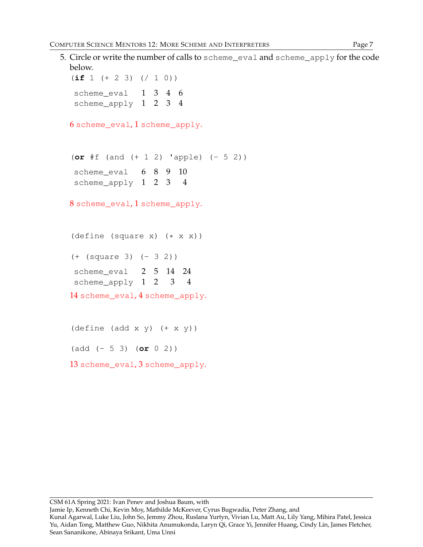```
5. Circle or write the number of calls to scheme_eval and scheme_apply for the code
  below.
  (i \textbf{f} 1 (+ 2 3) ((1 0))scheme_eval 1 3 4 6
   scheme_apply 1 2 3 4
  6 scheme_eval, 1 scheme_apply.
  (or #f (and (+ 1 2) 'apple) (- 5 2))
   scheme eval \t 6 8 9 10scheme_apply 1 2 3 4
  8 scheme_eval, 1 scheme_apply.
  (define (square x) (* x x))
  (+ (square 3) (- 3 2))
   scheme eval 2 5 14 24
   scheme_apply 1 2 3 4
  14 scheme_eval, 4 scheme_apply.
  (\text{define } (\text{add } x y) (+ x y))(add (- 5 3) (or 0 2))
  13 scheme_eval, 3 scheme_apply.
```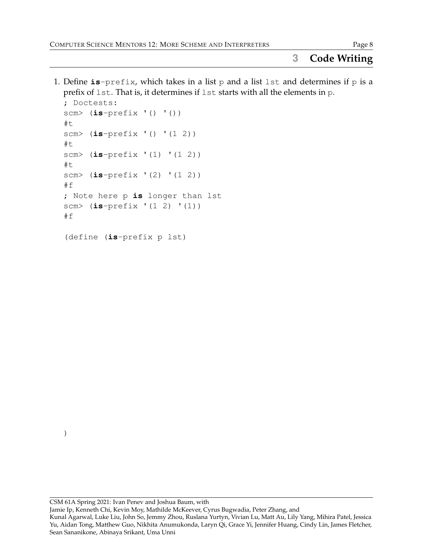# **3 Code Writing**

1. Define  $is$ -prefix, which takes in a list p and a list lst and determines if p is a prefix of lst. That is, it determines if lst starts with all the elements in p.

```
; Doctests:
scm> (is-prefix '() '())
#t
scm> (is-prefix '() '(1 2))
#t
scm> (is-prefix '(1) '(1 2))
#t
scm> (is-prefix '(2) '(1 2))
#f
; Note here p is longer than lst
scm> (is-prefix '(1 2) '(1))
#f
```

```
(define (is-prefix p lst)
```
#### CSM 61A Spring 2021: Ivan Penev and Joshua Baum, with Jamie Ip, Kenneth Chi, Kevin Moy, Mathilde McKeever, Cyrus Bugwadia, Peter Zhang, and Kunal Agarwal, Luke Liu, John So, Jemmy Zhou, Ruslana Yurtyn, Vivian Lu, Matt Au, Lily Yang, Mihira Patel, Jessica Yu, Aidan Tong, Matthew Guo, Nikhita Anumukonda, Laryn Qi, Grace Yi, Jennifer Huang, Cindy Lin, James Fletcher, Sean Sananikone, Abinaya Srikant, Uma Unni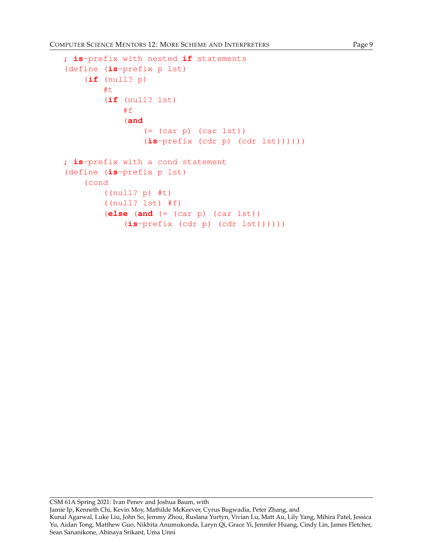```
COMPUTER SCIENCE MENTORS 12: MORE SCHEME AND INTERPRETERS Page 9
```

```
; is-prefix with nested if statements
(define (is-prefix p lst)
    (if (null? p)
        #t
        (if (null? lst)
            #f
            (and
                ( (car p) (car 1st))
                (is-prefix (cdr p) (cdr lst))))))
; is-prefix with a cond statement
(define (is-prefix p lst)
    (cond
        ((null? p) #t)
        ((null? lst) #f)
        (else (and (= (car p) (car lst))
            (is-prefix (cdr p) (cdr lst))))))
```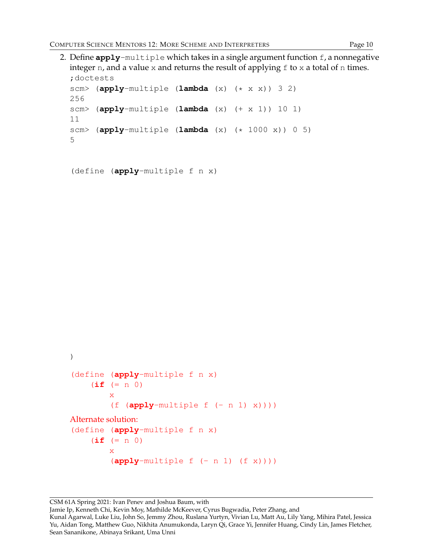2. Define **apply**-multiple which takes in a single argument function f, a nonnegative integer n, and a value  $x$  and returns the result of applying  $f$  to  $x$  a total of  $n$  times. ;doctests scm> (**apply**-multiple (**lambda** (x) (\* x x)) 3 2)

```
256
scm> (apply-multiple (lambda (x) (+ x 1)) 10 1)
11
scm> (apply-multiple (lambda (x) (* 1000 x)) 0 5)
5
```
(define (**apply**-multiple f n x)

```
)
(define (apply-multiple f n x)
     (i \nvert f \nvert = n \nvert 0)x
          (f (apply-multiple f (- n 1) x))))
Alternate solution:
(define (apply-multiple f n x)
     (i \nvert f \nvert = n \nvert 0)x
           (\text{apply--multiple f } (-n 1) (f x)))
```
CSM 61A Spring 2021: Ivan Penev and Joshua Baum, with

Jamie Ip, Kenneth Chi, Kevin Moy, Mathilde McKeever, Cyrus Bugwadia, Peter Zhang, and

Kunal Agarwal, Luke Liu, John So, Jemmy Zhou, Ruslana Yurtyn, Vivian Lu, Matt Au, Lily Yang, Mihira Patel, Jessica Yu, Aidan Tong, Matthew Guo, Nikhita Anumukonda, Laryn Qi, Grace Yi, Jennifer Huang, Cindy Lin, James Fletcher, Sean Sananikone, Abinaya Srikant, Uma Unni